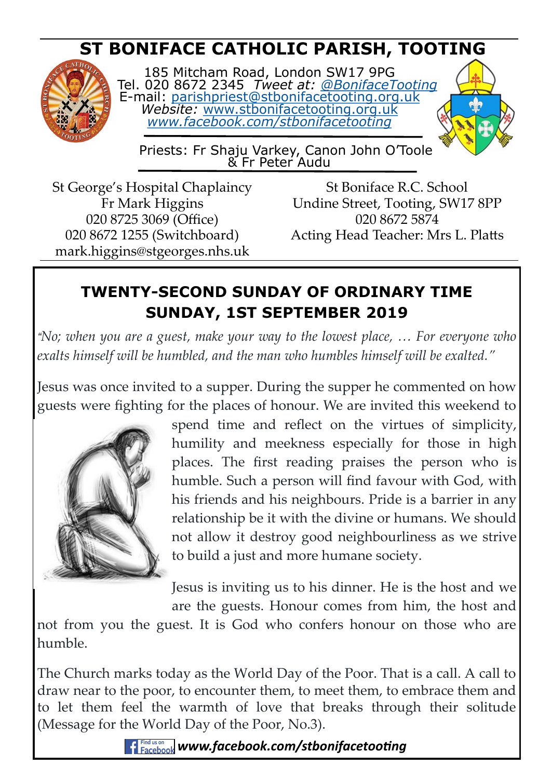# **ST BONIFACE CATHOLIC PARISH, TOOTING**



185 Mitcham Road, London SW17 9PG Tel. 020 8672 2345 *Tweet at: [@BonifaceTooting](http://twitter.com/bonifacetooting)* E-mail: [parishpriest@stbonifacetooting.org.uk](mailto:parishpriest@stbonifacetooting.org.uk) *Website:* [www.stbonifacetooting.org.uk](http://www.stbonifacetooting.org.uk) *[www.facebook.com/stbonifacetooting](http://www.facebook.com/stbonifacetooting)*



 Priests: Fr Shaju Varkey, Canon John O'Toole & Fr Peter Audu

St George's Hospital Chaplaincy Fr Mark Higgins 020 8725 3069 (Office) 020 8672 1255 (Switchboard) mark.higgins@stgeorges.nhs.uk

St Boniface R.C. School Undine Street, Tooting, SW17 8PP 020 8672 5874 Acting Head Teacher: Mrs L. Platts

## **TWENTY-SECOND SUNDAY OF ORDINARY TIME SUNDAY, 1ST SEPTEMBER 2019**

*"No; when you are a guest, make your way to the lowest place, … For everyone who exalts himself will be humbled, and the man who humbles himself will be exalted."*

Jesus was once invited to a supper. During the supper he commented on how guests were fighting for the places of honour. We are invited this weekend to



spend time and reflect on the virtues of simplicity, humility and meekness especially for those in high places. The first reading praises the person who is humble. Such a person will find favour with God, with his friends and his neighbours. Pride is a barrier in any relationship be it with the divine or humans. We should not allow it destroy good neighbourliness as we strive to build a just and more humane society.

Jesus is inviting us to his dinner. He is the host and we are the guests. Honour comes from him, the host and

not from you the guest. It is God who confers honour on those who are humble.

The Church marks today as the World Day of the Poor. That is a call. A call to draw near to the poor, to encounter them, to meet them, to embrace them and to let them feel the warmth of love that breaks through their solitude (Message for the World Day of the Poor, No.3).

*F Facebook www.facebook.com/stbonifacetooting*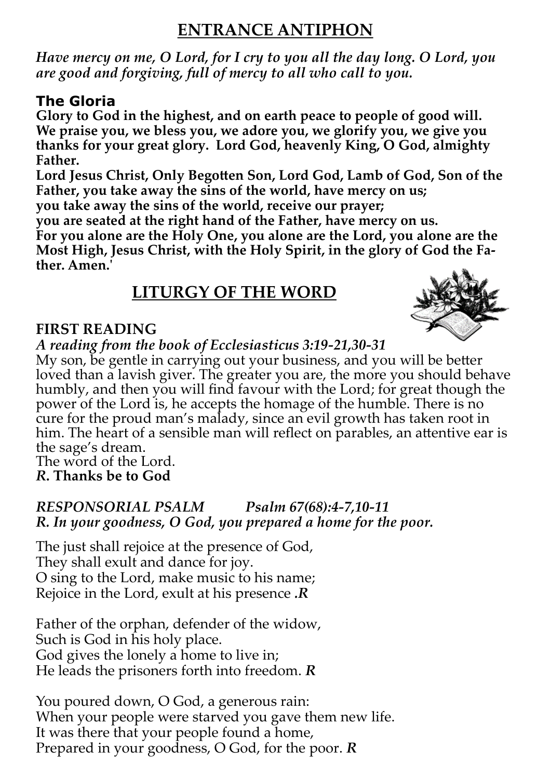## **ENTRANCE ANTIPHON**

*Have mercy on me, O Lord, for I cry to you all the day long. O Lord, you are good and forgiving, full of mercy to all who call to you.* 

### **The Gloria**

**Glory to God in the highest, and on earth peace to people of good will. We praise you, we bless you, we adore you, we glorify you, we give you thanks for your great glory. Lord God, heavenly King, O God, almighty Father.** 

**Lord Jesus Christ, Only Begotten Son, Lord God, Lamb of God, Son of the Father, you take away the sins of the world, have mercy on us;**

**you take away the sins of the world, receive our prayer;**

**you are seated at the right hand of the Father, have mercy on us.** 

**For you alone are the Holy One, you alone are the Lord, you alone are the Most High, Jesus Christ, with the Holy Spirit, in the glory of God the Father. Amen.'**

## **LITURGY OF THE WORD**

#### **FIRST READING**



My son, be gentle in carrying out your business, and you will be better loved than a lavish giver. The greater you are, the more you should behave humbly, and then you will find favour with the Lord; for great though the power of the Lord is, he accepts the homage of the humble. There is no cure for the proud man's malady, since an evil growth has taken root in him. The heart of a sensible man will reflect on parables, an attentive ear is the sage's dream.

The word of the Lord. *R***. Thanks be to God**

#### *RESPONSORIAL PSALM Psalm 67(68):4-7,10-11 R. In your goodness, O God, you prepared a home for the poor.*

The just shall rejoice at the presence of God, They shall exult and dance for joy. O sing to the Lord, make music to his name; Rejoice in the Lord, exult at his presence *.R*

Father of the orphan, defender of the widow, Such is God in his holy place. God gives the lonely a home to live in; He leads the prisoners forth into freedom. *R*

You poured down, O God, a generous rain: When your people were starved you gave them new life. It was there that your people found a home, Prepared in your goodness, O God, for the poor. *R*

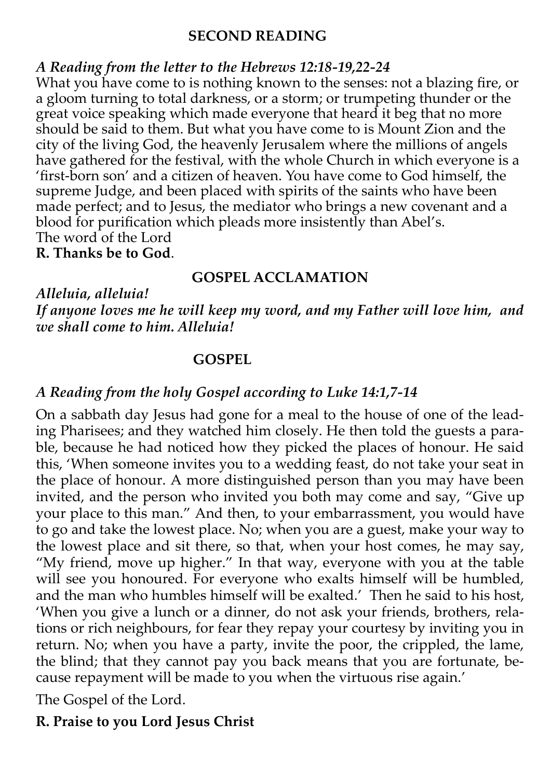#### **SECOND READING**

#### *A Reading from the letter to the Hebrews 12:18-19,22-24*

What you have come to is nothing known to the senses: not a blazing fire, or a gloom turning to total darkness, or a storm; or trumpeting thunder or the great voice speaking which made everyone that heard it beg that no more should be said to them. But what you have come to is Mount Zion and the city of the living God, the heavenly Jerusalem where the millions of angels have gathered for the festival, with the whole Church in which everyone is a 'first-born son' and a citizen of heaven. You have come to God himself, the supreme Judge, and been placed with spirits of the saints who have been made perfect; and to Jesus, the mediator who brings a new covenant and a blood for purification which pleads more insistently than Abel's. The word of the Lord **R. Thanks be to God**.

#### **GOSPEL ACCLAMATION**

*Alleluia, alleluia!* 

*If anyone loves me he will keep my word, and my Father will love him, and we shall come to him. Alleluia!*

#### **GOSPEL**

#### *A Reading from the holy Gospel according to Luke 14:1,7-14*

On a sabbath day Jesus had gone for a meal to the house of one of the leading Pharisees; and they watched him closely. He then told the guests a parable, because he had noticed how they picked the places of honour. He said this, 'When someone invites you to a wedding feast, do not take your seat in the place of honour. A more distinguished person than you may have been invited, and the person who invited you both may come and say, "Give up your place to this man." And then, to your embarrassment, you would have to go and take the lowest place. No; when you are a guest, make your way to the lowest place and sit there, so that, when your host comes, he may say, "My friend, move up higher." In that way, everyone with you at the table will see you honoured. For everyone who exalts himself will be humbled, and the man who humbles himself will be exalted.' Then he said to his host, 'When you give a lunch or a dinner, do not ask your friends, brothers, relations or rich neighbours, for fear they repay your courtesy by inviting you in return. No; when you have a party, invite the poor, the crippled, the lame, the blind; that they cannot pay you back means that you are fortunate, because repayment will be made to you when the virtuous rise again.'

The Gospel of the Lord.

**R. Praise to you Lord Jesus Christ**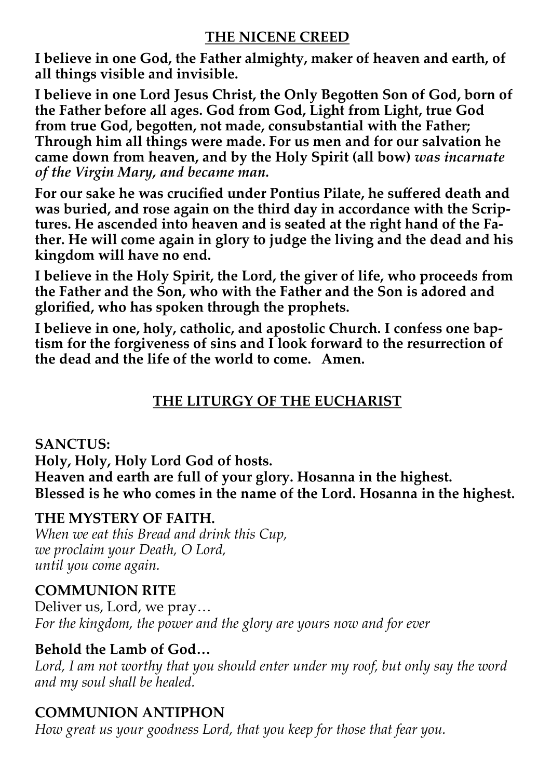#### **THE NICENE CREED**

**I believe in one God, the Father almighty, maker of heaven and earth, of all things visible and invisible.**

**I believe in one Lord Jesus Christ, the Only Begotten Son of God, born of the Father before all ages. God from God, Light from Light, true God from true God, begotten, not made, consubstantial with the Father; Through him all things were made. For us men and for our salvation he came down from heaven, and by the Holy Spirit (all bow)** *was incarnate of the Virgin Mary, and became man.*

**For our sake he was crucified under Pontius Pilate, he suffered death and was buried, and rose again on the third day in accordance with the Scriptures. He ascended into heaven and is seated at the right hand of the Father. He will come again in glory to judge the living and the dead and his kingdom will have no end.**

**I believe in the Holy Spirit, the Lord, the giver of life, who proceeds from the Father and the Son, who with the Father and the Son is adored and glorified, who has spoken through the prophets.**

**I believe in one, holy, catholic, and apostolic Church. I confess one baptism for the forgiveness of sins and I look forward to the resurrection of the dead and the life of the world to come. Amen.** 

### **THE LITURGY OF THE EUCHARIST**

**SANCTUS: Holy, Holy, Holy Lord God of hosts. Heaven and earth are full of your glory. Hosanna in the highest. Blessed is he who comes in the name of the Lord. Hosanna in the highest.** 

#### **THE MYSTERY OF FAITH.**

*When we eat this Bread and drink this Cup, we proclaim your Death, O Lord, until you come again.* 

#### **COMMUNION RITE**

Deliver us, Lord, we pray… *For the kingdom, the power and the glory are yours now and for ever*

#### **Behold the Lamb of God…**

Lord, I am not worthy that you should enter under my roof, but only say the word *and my soul shall be healed.*

#### **COMMUNION ANTIPHON**

*How great us your goodness Lord, that you keep for those that fear you.*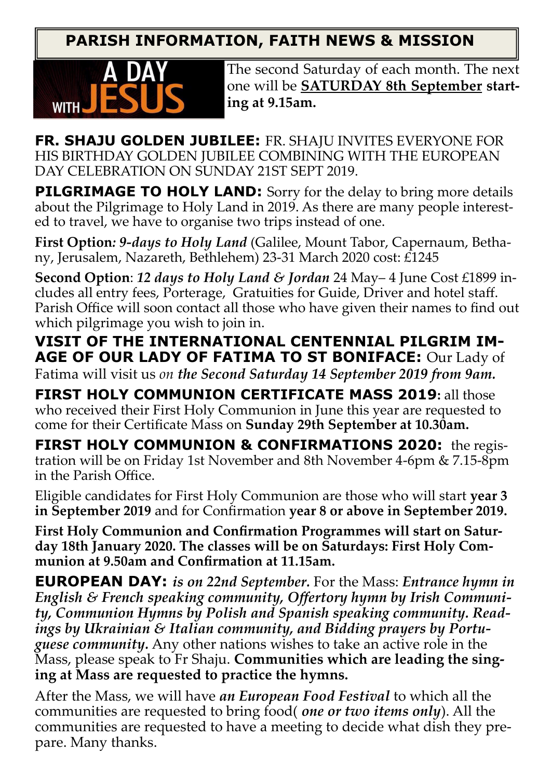**PARISH INFORMATION, FAITH NEWS & MISSION**



The second Saturday of each month. The next one will be **SATURDAY 8th September starting at 9.15am.**

**FR. SHAJU GOLDEN JUBILEE:** FR. SHAJU INVITES EVERYONE FOR HIS BIRTHDAY GOLDEN JUBILEE COMBINING WITH THE EUROPEAN DAY CELEBRATION ON SUNDAY 21ST SEPT 2019.

**PILGRIMAGE TO HOLY LAND:** Sorry for the delay to bring more details about the Pilgrimage to Holy Land in 2019. As there are many people interested to travel, we have to organise two trips instead of one.

**First Option***: 9-days to Holy Land* (Galilee, Mount Tabor, Capernaum, Bethany, Jerusalem, Nazareth, Bethlehem) 23-31 March 2020 cost: £1245

**Second Option**: *12 days to Holy Land & Jordan* 24 May– 4 June Cost £1899 includes all entry fees, Porterage, Gratuities for Guide, Driver and hotel staff. Parish Office will soon contact all those who have given their names to find out which pilgrimage you wish to join in.

**VISIT OF THE INTERNATIONAL CENTENNIAL PILGRIM IM-AGE OF OUR LADY OF FATIMA TO ST BONIFACE:** Our Lady of

Fatima will visit us *on the Second Saturday 14 September 2019 from 9am.*

**FIRST HOLY COMMUNION CERTIFICATE MASS 2019:** all those who received their First Holy Communion in June this year are requested to come for their Certificate Mass on **Sunday 29th September at 10.30am.**

**FIRST HOLY COMMUNION & CONFIRMATIONS 2020:** the registration will be on Friday 1st November and 8th November 4-6pm & 7.15-8pm in the Parish Office.

Eligible candidates for First Holy Communion are those who will start **year 3 in September 2019** and for Confirmation **year 8 or above in September 2019.**

**First Holy Communion and Confirmation Programmes will start on Saturday 18th January 2020. The classes will be on Saturdays: First Holy Communion at 9.50am and Confirmation at 11.15am.**

**EUROPEAN DAY:** *is on 22nd September.* For the Mass: *Entrance hymn in English & French speaking community, Offertory hymn by Irish Community, Communion Hymns by Polish and Spanish speaking community. Readings by Ukrainian & Italian community, and Bidding prayers by Portuguese community.* Any other nations wishes to take an active role in the Mass, please speak to Fr Shaju. **Communities which are leading the singing at Mass are requested to practice the hymns.** 

After the Mass, we will have *an European Food Festival* to which all the communities are requested to bring food( *one or two items only*). All the communities are requested to have a meeting to decide what dish they prepare. Many thanks.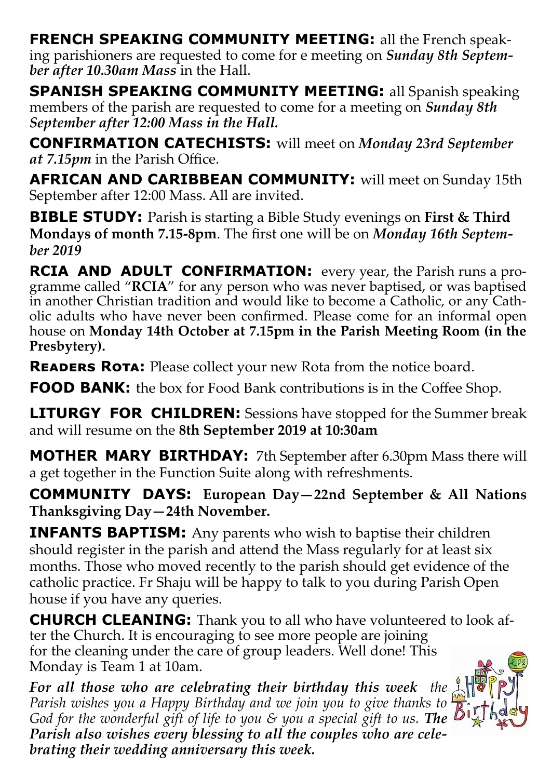**FRENCH SPEAKING COMMUNITY MEETING:** all the French speaking parishioners are requested to come for e meeting on *Sunday 8th September after 10.30am Mass* in the Hall.

**SPANISH SPEAKING COMMUNITY MEETING:** all Spanish speaking members of the parish are requested to come for a meeting on *Sunday 8th September after 12:00 Mass in the Hall.*

**CONFIRMATION CATECHISTS:** will meet on *Monday 23rd September at 7.15pm* in the Parish Office.

**AFRICAN AND CARIBBEAN COMMUNITY:** will meet on Sunday 15th September after 12:00 Mass. All are invited.

**BIBLE STUDY:** Parish is starting a Bible Study evenings on **First & Third Mondays of month 7.15-8pm**. The first one will be on *Monday 16th September 2019*

**RCIA AND ADULT CONFIRMATION:** every year, the Parish runs a programme called "**RCIA**" for any person who was never baptised, or was baptised in another Christian tradition and would like to become a Catholic, or any Catholic adults who have never been confirmed. Please come for an informal open house on **Monday 14th October at 7.15pm in the Parish Meeting Room (in the Presbytery).**

**READERS ROTA:** Please collect your new Rota from the notice board.

**FOOD BANK:** the box for Food Bank contributions is in the Coffee Shop.

**LITURGY FOR CHILDREN:** Sessions have stopped for the Summer break and will resume on the **8th September 2019 at 10:30am** 

**MOTHER MARY BIRTHDAY:** 7th September after 6.30pm Mass there will a get together in the Function Suite along with refreshments.

**COMMUNITY DAYS: European Day—22nd September & All Nations Thanksgiving Day—24th November.**

**INFANTS BAPTISM:** Any parents who wish to baptise their children should register in the parish and attend the Mass regularly for at least six months. Those who moved recently to the parish should get evidence of the catholic practice. Fr Shaju will be happy to talk to you during Parish Open house if you have any queries.

**CHURCH CLEANING:** Thank you to all who have volunteered to look after the Church. It is encouraging to see more people are joining for the cleaning under the care of group leaders. Well done! This Monday is Team 1 at 10am.

*For all those who are celebrating their birthday this week the Parish wishes you a Happy Birthday and we join you to give thanks to God for the wonderful gift of life to you & you a special gift to us. The Parish also wishes every blessing to all the couples who are celebrating their wedding anniversary this week.*

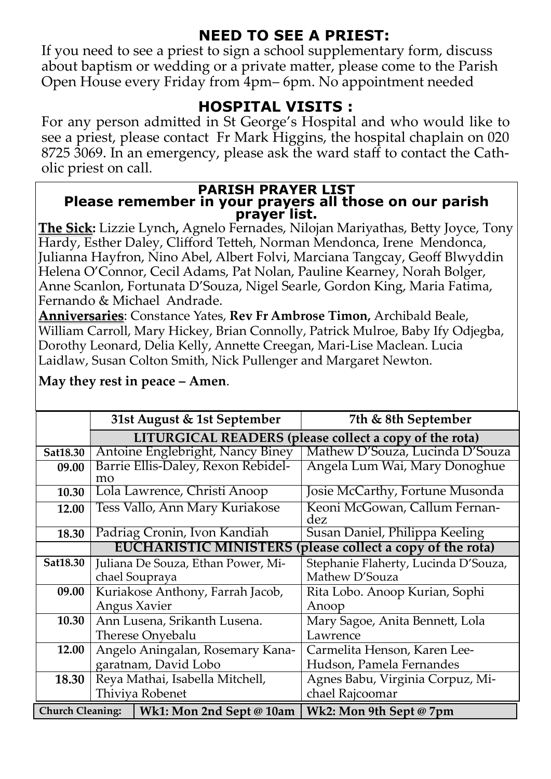## **NEED TO SEE A PRIEST:**

If you need to see a priest to sign a school supplementary form, discuss about baptism or wedding or a private matter, please come to the Parish Open House every Friday from 4pm– 6pm. No appointment needed

### **HOSPITAL VISITS :**

For any person admitted in St George's Hospital and who would like to see a priest, please contact Fr Mark Higgins, the hospital chaplain on 020 8725 3069. In an emergency, please ask the ward staff to contact the Catholic priest on call.

#### **PARISH PRAYER LIST Please remember in your prayers all those on our parish prayer list.**

**The Sick:** Lizzie Lynch**,** Agnelo Fernades, Nilojan Mariyathas, Betty Joyce, Tony Hardy, Esther Daley, Clifford Tetteh, Norman Mendonca, Irene Mendonca, Julianna Hayfron, Nino Abel, Albert Folvi, Marciana Tangcay, Geoff Blwyddin Helena O'Connor, Cecil Adams, Pat Nolan, Pauline Kearney, Norah Bolger, Anne Scanlon, Fortunata D'Souza, Nigel Searle, Gordon King, Maria Fatima, Fernando & Michael Andrade.

**Anniversaries**: Constance Yates, **Rev Fr Ambrose Timon,** Archibald Beale, William Carroll, Mary Hickey, Brian Connolly, Patrick Mulroe, Baby Ify Odjegba, Dorothy Leonard, Delia Kelly, Annette Creegan, Mari-Lise Maclean. Lucia Laidlaw, Susan Colton Smith, Nick Pullenger and Margaret Newton.

|                         | 31st August & 1st September                                        |                                                        | 7th & 8th September                  |  |  |  |
|-------------------------|--------------------------------------------------------------------|--------------------------------------------------------|--------------------------------------|--|--|--|
|                         |                                                                    | LITURGICAL READERS (please collect a copy of the rota) |                                      |  |  |  |
| Sat18.30                | Antoine Englebright, Nancy Biney                                   |                                                        | Mathew D'Souza, Lucinda D'Souza      |  |  |  |
| 09.00                   |                                                                    | Barrie Ellis-Daley, Rexon Rebidel-                     | Angela Lum Wai, Mary Donoghue        |  |  |  |
| 10.30                   | mo                                                                 | Lola Lawrence, Christi Anoop                           | Josie McCarthy, Fortune Musonda      |  |  |  |
|                         |                                                                    |                                                        |                                      |  |  |  |
| 12.00                   | Tess Vallo, Ann Mary Kuriakose                                     |                                                        | Keoni McGowan, Callum Fernan-        |  |  |  |
|                         |                                                                    |                                                        | dez                                  |  |  |  |
| 18.30                   | Padriag Cronin, Ivon Kandiah                                       |                                                        | Susan Daniel, Philippa Keeling       |  |  |  |
|                         | <b>EUCHARISTIC MINISTERS</b><br>please collect a copy of the rota) |                                                        |                                      |  |  |  |
| Sat18.30                | Juliana De Souza, Ethan Power, Mi-                                 |                                                        | Stephanie Flaherty, Lucinda D'Souza, |  |  |  |
|                         |                                                                    | chael Soupraya                                         | Mathew D'Souza                       |  |  |  |
| 09.00                   | Kuriakose Anthony, Farrah Jacob,                                   |                                                        | Rita Lobo. Anoop Kurian, Sophi       |  |  |  |
|                         | Angus Xavier                                                       |                                                        | Anoop                                |  |  |  |
| 10.30                   | Ann Lusena, Srikanth Lusena.                                       |                                                        | Mary Sagoe, Anita Bennett, Lola      |  |  |  |
|                         | Therese Onyebalu                                                   |                                                        | Lawrence                             |  |  |  |
| 12.00                   | Angelo Aningalan, Rosemary Kana-                                   |                                                        | Carmelita Henson, Karen Lee-         |  |  |  |
|                         | garatnam, David Lobo                                               |                                                        | Hudson, Pamela Fernandes             |  |  |  |
| 18.30                   |                                                                    | Reya Mathai, Isabella Mitchell,                        | Agnes Babu, Virginia Corpuz, Mi-     |  |  |  |
|                         | Thiviya Robenet                                                    |                                                        | chael Rajcoomar                      |  |  |  |
| <b>Church Cleaning:</b> |                                                                    | Wk1: Mon 2nd Sept @ 10am                               | Wk2: Mon 9th Sept @ 7pm              |  |  |  |

#### **May they rest in peace – Amen**.